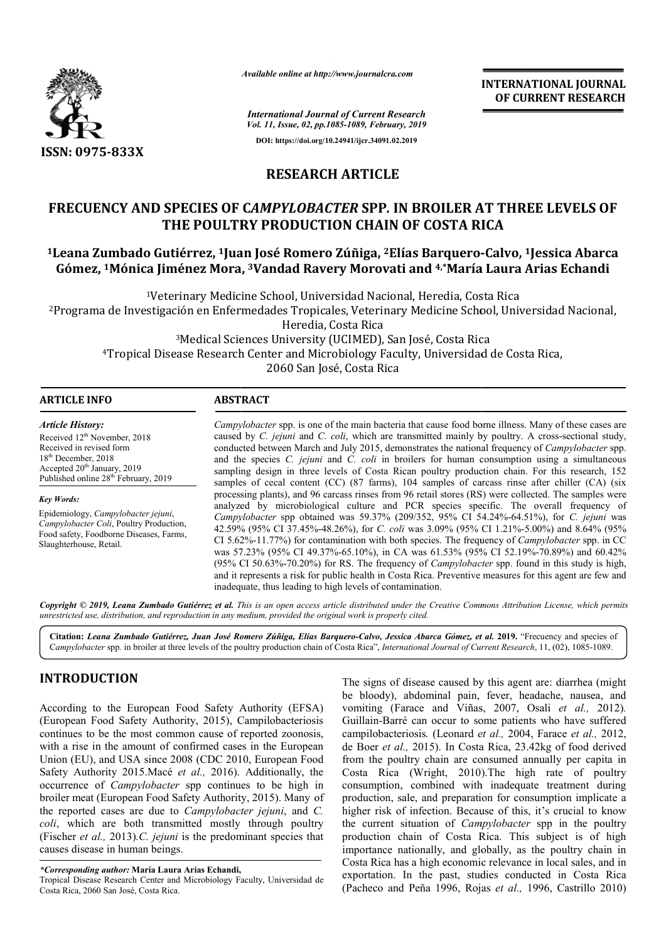

*Available online at http://www.journalcra.com*

*International Journal of Current Research Vol. 11, Issue, 02, pp.1085-1089, February, 2019* **DOI: https://doi.org/10.24941/ijcr.34091.02.2019**

**INTERNATIONAL JOURNAL OF CURRENT RESEARCH**

# **RESEARCH ARTICLE**

# **FRECUENCY AND SPECIES OF C** *AMPYLOBACTER* **SPP***.* **IN BROILER AT THREE LEVELS OF THE POULTRY PRODUCTION CHAIN OF COSTA RICA**

# **1Leana Zumbado Gutiérrez, 1Juan José Romero Zúñiga Juan Zúñiga, 2Elías Barquero-OF RICA-Calvo, 1Jessica Abarca Gómez, 1Mónica Jiménez Mora, Mónica 3Vandad Ravery Morovati and 4,\*María Laura Arias Echandi María**

<sup>1</sup>Veterinary Medicine School, Universidad Nacional, Heredia, Costa Rica 2Programa de Investigación en Enfermedades Tropicales, Veterinary Medicine School Programa Heredia, Costa Rica , Costa Rica<br>School, Universidad Nacional,

3Medical Sciences University (UCIMED), San José, Costa Rica 4Tropical Disease Research Center and Microbiology Faculty, Universidad de Costa Rica, <sup>3</sup>Medical Sciences University (UCIMED), San José, Costa Rica<br>Tropical Disease Research Center and Microbiology Faculty, Universidad de Costa Rica,<br>2060 San José, Costa Rica

| <b>ARTICLE INFO</b>                                                                                                                                                                          | <b>ABSTRACT</b>                                                                                                                                                                                                                                                                                                                                                                                                                                                                                                                                                                                                                                                                                                                                                             |  |
|----------------------------------------------------------------------------------------------------------------------------------------------------------------------------------------------|-----------------------------------------------------------------------------------------------------------------------------------------------------------------------------------------------------------------------------------------------------------------------------------------------------------------------------------------------------------------------------------------------------------------------------------------------------------------------------------------------------------------------------------------------------------------------------------------------------------------------------------------------------------------------------------------------------------------------------------------------------------------------------|--|
| <b>Article History:</b>                                                                                                                                                                      | <i>Campylobacter</i> spp. is one of the main bacteria that cause food borne illness. Many of these cases are                                                                                                                                                                                                                                                                                                                                                                                                                                                                                                                                                                                                                                                                |  |
| Received 12 <sup>th</sup> November, 2018<br>Received in revised form<br>$18th$ December, 2018<br>Accepted 20 <sup>th</sup> January, 2019<br>Published online 28 <sup>th</sup> February, 2019 | caused by C. jejuni and C. coli, which are transmitted mainly by poultry. A cross-sectional study,<br>conducted between March and July 2015, demonstrates the national frequency of <i>Campylobacter</i> spp.<br>and the species C. jejuni and C. coli in broilers for human consumption using a simultaneous<br>sampling design in three levels of Costa Rican poultry production chain. For this research, 152<br>samples of cecal content (CC) (87 farms), 104 samples of carcass rinse after chiller (CA) (six<br>processing plants), and 96 carcass rinses from 96 retail stores (RS) were collected. The samples were                                                                                                                                                 |  |
| <b>Key Words:</b>                                                                                                                                                                            |                                                                                                                                                                                                                                                                                                                                                                                                                                                                                                                                                                                                                                                                                                                                                                             |  |
| Epidemiology, Campylobacter jejuni,<br>Campylobacter Coli, Poultry Production,<br>Food safety, Foodborne Diseases, Farms,<br>Slaughterhouse, Retail.                                         | analyzed by microbiological culture and PCR species specific. The overall frequency of<br>Campylobacter spp obtained was 59.37% (209/352, 95% CI 54.24%-64.51%), for C. jejuni was<br>42.59% (95% CI 37.45%-48.26%), for <i>C. coli</i> was 3.09% (95% CI 1.21%-5.00%) and 8.64% (95%<br>CI 5.62%-11.77%) for contamination with both species. The frequency of <i>Campylobacter</i> spp. in CC<br>was 57.23% (95% CI 49.37%-65.10%), in CA was 61.53% (95% CI 52.19%-70.89%) and 60.42%<br>(95% CI 50.63%-70.20%) for RS. The frequency of <i>Campylobacter</i> spp. found in this study is high,<br>and it represents a risk for public health in Costa Rica. Preventive measures for this agent are few and<br>inadequate, thus leading to high levels of contamination. |  |

Copyright © 2019, Leana Zumbado Gutiérrez et al. This is an open access article distributed under the Creative Commons Attribution License, which permits *unrestricted use, distribution, and reproduction in any medium, provided the original work is properly cited.*

Citation: Leana Zumbado Gutiérrez, Juan José Romero Zúñiga, Elías Barquero-Calvo, Jessica Abarca Gómez, et al. 2019. "Frecuency and species of Campylobacter spp. in broiler at three levels of the poultry production chain of Costa Rica", *International Journal of Current Research*, 11, (02), 1085-1089.

## **INTRODUCTION**

According to the European Food Safety Authority (EFSA) (European Food Safety Authority, 2015), Campilobacteriosis continues to be the most common cause of reported zoonosis, with a rise in the amount of confirmed cases in the European Union (EU), and USA since 2008 (CDC 2010, European Food Union (EU), and USA since 2008 (CDC 2010, European Food Safety Authority 2015.Macé *et al.*, 2016). Additionally, the occurrence of *Campylobacter* spp continues to be high in broiler meat (European Food Safety Authority, 2015). Many of the reported cases are due to *Campylobacter jejuni*, and *C. coli*, which are both transmitted mostly through poultry (Fischer *et al.,* 2013)*.C. jejuni* is the predominant species that causes disease in human beings.

*\*Corresponding author:* **María Laura Arias Echandi, ,**

Tropical Disease Research Center and Microbiology Faculty, Universidad de Costa Rica, 2060 San José, Costa Rica.

The signs of disease caused by this agent are: diarrhea (might<br>be bloody), abdominal pain, fever, headache, nausea, and<br>ority, 2015). Campilobacteriosis Guillain-Barré can occur to some patients who have suffered<br>mon cause The signs of disease caused by this agent are: diarrhea (might be bloody), abdominal pain, fever, headache, nausea, and vomiting (Farace and Viñas, 2007, Osali *et al.,* 2012)*.* Guillain-Barré can occur to some patients who have suffered campilobacteriosis*.* (Leonard *et al.,* 2004, Farace *et al.,* 2012, de Boer *et al.,* 2015). In Costa Rica, 23.42kg of food derived from the poultry chain are consumed annually per capita in Costa Rica (Wright, 2010).The high rate of poultry consumption, combined with inadequate treatment during production, sale, and preparation for consumption implicate a higher risk of infection. Because of this, it's crucial to know the current situation of *Campyloba Campylobacter* spp in the poultry production chain of Costa Rica. This subject is of high importance nationally, and globally, as the poultry chain in Costa Rica has a high economic relevance in local sales, and in exportation. In the past, studies conducted in Costa Rica (Pacheco and Peña 1996, Rojas Peña *et al.,* 1996, Castrillo 2010) poultry chain are consumed annually per capita in<br>ica (Wright, 2010). The high rate of poultry<br>ion, combined with inadequate treatment during<br>a, sale, and preparation for consumption implicate a This subject is of high<br>y, as the poultry chain in<br>vance in local sales, and in<br>conducted in Costa Rica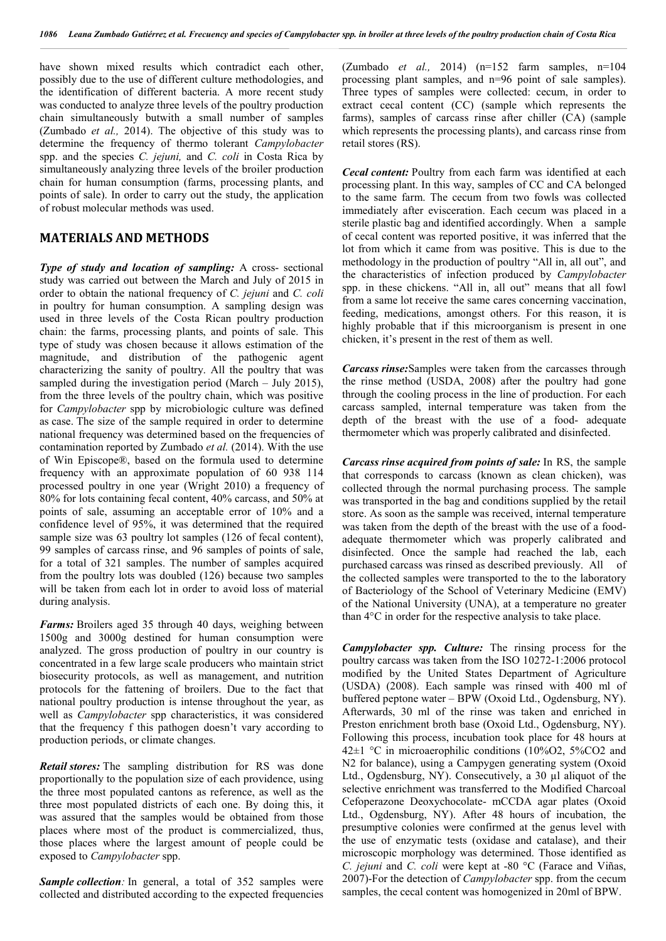have shown mixed results which contradict each other, possibly due to the use of different culture methodologies, and the identification of different bacteria. A more recent study was conducted to analyze three levels of the poultry production chain simultaneously butwith a small number of samples (Zumbado *et al.,* 2014). The objective of this study was to determine the frequency of thermo tolerant *Campylobacter* spp. and the species *C. jejuni,* and *C. coli* in Costa Rica by simultaneously analyzing three levels of the broiler production chain for human consumption (farms, processing plants, and points of sale). In order to carry out the study, the application of robust molecular methods was used.

#### **MATERIALS AND METHODS**

*Type of study and location of sampling:* A cross- sectional study was carried out between the March and July of 2015 in order to obtain the national frequency of *C. jejuni* and *C. coli* in poultry for human consumption. A sampling design was used in three levels of the Costa Rican poultry production chain: the farms, processing plants, and points of sale. This type of study was chosen because it allows estimation of the magnitude, and distribution of the pathogenic agent characterizing the sanity of poultry. All the poultry that was sampled during the investigation period (March – July 2015), from the three levels of the poultry chain, which was positive for *Campylobacter* spp by microbiologic culture was defined as case. The size of the sample required in order to determine national frequency was determined based on the frequencies of contamination reported by Zumbado *et al.* (2014). With the use of Win Episcope®, based on the formula used to determine frequency with an approximate population of 60 938 114 processed poultry in one year (Wright 2010) a frequency of 80% for lots containing fecal content, 40% carcass, and 50% at points of sale, assuming an acceptable error of 10% and a confidence level of 95%, it was determined that the required sample size was 63 poultry lot samples (126 of fecal content), 99 samples of carcass rinse, and 96 samples of points of sale, for a total of 321 samples. The number of samples acquired from the poultry lots was doubled (126) because two samples will be taken from each lot in order to avoid loss of material during analysis.

*Farms:* Broilers aged 35 through 40 days, weighing between 1500g and 3000g destined for human consumption were analyzed. The gross production of poultry in our country is concentrated in a few large scale producers who maintain strict biosecurity protocols, as well as management, and nutrition protocols for the fattening of broilers. Due to the fact that national poultry production is intense throughout the year, as well as *Campylobacter* spp characteristics, it was considered that the frequency f this pathogen doesn't vary according to production periods, or climate changes.

*Retail stores:* The sampling distribution for RS was done proportionally to the population size of each providence, using the three most populated cantons as reference, as well as the three most populated districts of each one. By doing this, it was assured that the samples would be obtained from those places where most of the product is commercialized, thus, those places where the largest amount of people could be exposed to *Campylobacter* spp.

*Sample collection*: In general, a total of 352 samples were collected and distributed according to the expected frequencies

(Zumbado *et al.,* 2014) (n=152 farm samples, n=104 processing plant samples, and n=96 point of sale samples). Three types of samples were collected: cecum, in order to extract cecal content (CC) (sample which represents the farms), samples of carcass rinse after chiller (CA) (sample which represents the processing plants), and carcass rinse from retail stores (RS).

*Cecal content:* Poultry from each farm was identified at each processing plant. In this way, samples of CC and CA belonged to the same farm. The cecum from two fowls was collected immediately after evisceration. Each cecum was placed in a sterile plastic bag and identified accordingly. When a sample of cecal content was reported positive, it was inferred that the lot from which it came from was positive. This is due to the methodology in the production of poultry "All in, all out", and the characteristics of infection produced by *Campylobacter* spp. in these chickens. "All in, all out" means that all fowl from a same lot receive the same cares concerning vaccination, feeding, medications, amongst others. For this reason, it is highly probable that if this microorganism is present in one chicken, it's present in the rest of them as well.

*Carcass rinse:*Samples were taken from the carcasses through the rinse method (USDA, 2008) after the poultry had gone through the cooling process in the line of production. For each carcass sampled, internal temperature was taken from the depth of the breast with the use of a food- adequate thermometer which was properly calibrated and disinfected.

*Carcass rinse acquired from points of sale:* In RS, the sample that corresponds to carcass (known as clean chicken), was collected through the normal purchasing process. The sample was transported in the bag and conditions supplied by the retail store. As soon as the sample was received, internal temperature was taken from the depth of the breast with the use of a foodadequate thermometer which was properly calibrated and disinfected. Once the sample had reached the lab, each purchased carcass was rinsed as described previously. All of the collected samples were transported to the to the laboratory of Bacteriology of the School of Veterinary Medicine (EMV) of the National University (UNA), at a temperature no greater than 4°C in order for the respective analysis to take place.

*Campylobacter spp. Culture:* The rinsing process for the poultry carcass was taken from the ISO 10272-1:2006 protocol modified by the United States Department of Agriculture (USDA) (2008). Each sample was rinsed with 400 ml of buffered peptone water – BPW (Oxoid Ltd., Ogdensburg, NY). Afterwards, 30 ml of the rinse was taken and enriched in Preston enrichment broth base (Oxoid Ltd., Ogdensburg, NY). Following this process, incubation took place for 48 hours at 42±1 °C in microaerophilic conditions (10%O2, 5%CO2 and N2 for balance), using a Campygen generating system (Oxoid Ltd., Ogdensburg, NY). Consecutively, a 30 µl aliquot of the selective enrichment was transferred to the Modified Charcoal Cefoperazone Deoxychocolate- mCCDA agar plates (Oxoid Ltd., Ogdensburg, NY). After 48 hours of incubation, the presumptive colonies were confirmed at the genus level with the use of enzymatic tests (oxidase and catalase), and their microscopic morphology was determined. Those identified as *C. jejuni* and *C. coli* were kept at -80 °C (Farace and Viñas, 2007)-For the detection of *Campylobacter* spp. from the cecum samples, the cecal content was homogenized in 20ml of BPW.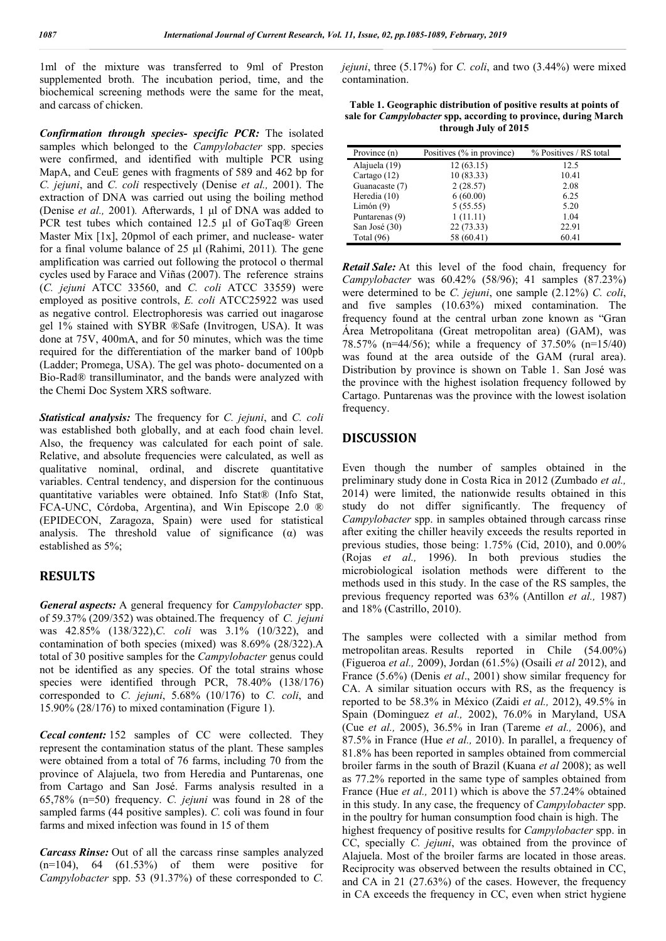1ml of the mixture was transferred to 9ml of Preston supplemented broth. The incubation period, time, and the biochemical screening methods were the same for the meat, and carcass of chicken.

*Confirmation through species- specific PCR:* The isolated samples which belonged to the *Campylobacter* spp. species were confirmed, and identified with multiple PCR using MapA, and CeuE genes with fragments of 589 and 462 bp for *C. jejuni*, and *C. coli* respectively (Denise *et al.,* 2001). The extraction of DNA was carried out using the boiling method (Denise *et al.,* 2001)*.* Afterwards, 1 μl of DNA was added to PCR test tubes which contained 12.5 µl of GoTaq® Green Master Mix [1x], 20pmol of each primer, and nuclease- water for a final volume balance of 25 µl (Rahimi, 2011)*.* The gene amplification was carried out following the protocol o thermal cycles used by Farace and Viñas (2007). The reference strains (*C. jejuni* ATCC 33560, and *C. coli* ATCC 33559) were employed as positive controls, *E. coli* ATCC25922 was used as negative control. Electrophoresis was carried out inagarose gel 1% stained with SYBR ®Safe (Invitrogen, USA). It was done at 75V, 400mA, and for 50 minutes, which was the time required for the differentiation of the marker band of 100pb (Ladder; Promega, USA). The gel was photo- documented on a Bio-Rad® transilluminator, and the bands were analyzed with the Chemi Doc System XRS software.

*Statistical analysis:* The frequency for *C. jejuni*, and *C. coli* was established both globally, and at each food chain level. Also, the frequency was calculated for each point of sale. Relative, and absolute frequencies were calculated, as well as qualitative nominal, ordinal, and discrete quantitative variables. Central tendency, and dispersion for the continuous quantitative variables were obtained. Info Stat® (Info Stat, FCA-UNC, Córdoba, Argentina), and Win Episcope 2.0 ® (EPIDECON, Zaragoza, Spain) were used for statistical analysis. The threshold value of significance  $(\alpha)$  was established as 5%;

## **RESULTS**

*General aspects:* A general frequency for *Campylobacter* spp. of 59.37% (209/352) was obtained.The frequency of *C. jejuni* was 42.85% (138/322),*C. coli* was 3.1% (10/322), and contamination of both species (mixed) was 8.69% (28/322).A total of 30 positive samples for the *Campylobacter* genus could not be identified as any species. Of the total strains whose species were identified through PCR, 78.40% (138/176) corresponded to *C. jejuni*, 5.68% (10/176) to *C. coli*, and 15.90% (28/176) to mixed contamination (Figure 1).

*Cecal content:* 152 samples of CC were collected. They represent the contamination status of the plant. These samples were obtained from a total of 76 farms, including 70 from the province of Alajuela, two from Heredia and Puntarenas, one from Cartago and San José. Farms analysis resulted in a 65,78% (n=50) frequency. *C. jejuni* was found in 28 of the sampled farms (44 positive samples). *C.* coli was found in four farms and mixed infection was found in 15 of them

*Carcass Rinse:* Out of all the carcass rinse samples analyzed  $(n=104)$ , 64  $(61.53\%)$  of them were positive for *Campylobacter* spp. 53 (91.37%) of these corresponded to *C.* 

*jejuni*, three (5.17%) for *C. coli*, and two (3.44%) were mixed contamination.

| Table 1. Geographic distribution of positive results at points of      |
|------------------------------------------------------------------------|
| sale for <i>Campylobacter</i> spp, according to province, during March |
| through July of 2015                                                   |

| Province (n)   | Positives (% in province) | % Positives / RS total |
|----------------|---------------------------|------------------------|
| Alajuela (19)  | 12(63.15)                 | 12.5                   |
| Cartago $(12)$ | 10(83.33)                 | 10.41                  |
| Guanacaste (7) | 2(28.57)                  | 2.08                   |
| Heredia (10)   | 6(60.00)                  | 6.25                   |
| Limón $(9)$    | 5(55.55)                  | 5.20                   |
| Puntarenas (9) | 1(11.11)                  | 1.04                   |
| San José (30)  | 22 (73.33)                | 22.91                  |
| Total $(96)$   | 58 (60.41)                | 60.41                  |

*Retail Sale:* At this level of the food chain, frequency for *Campylobacter* was 60.42% (58/96); 41 samples (87.23%) were determined to be *C. jejuni*, one sample (2.12%) *C. coli*, and five samples (10.63%) mixed contamination. The frequency found at the central urban zone known as "Gran Área Metropolitana (Great metropolitan area) (GAM), was 78.57% (n=44/56); while a frequency of 37.50% (n=15/40) was found at the area outside of the GAM (rural area). Distribution by province is shown on Table 1. San José was the province with the highest isolation frequency followed by Cartago. Puntarenas was the province with the lowest isolation frequency.

## **DISCUSSION**

Even though the number of samples obtained in the preliminary study done in Costa Rica in 2012 (Zumbado *et al.,* 2014) were limited, the nationwide results obtained in this study do not differ significantly. The frequency of *Campylobacter* spp. in samples obtained through carcass rinse after exiting the chiller heavily exceeds the results reported in previous studies, those being: 1.75% (Cid, 2010), and 0.00% (Rojas *et al.,* 1996). In both previous studies the microbiological isolation methods were different to the methods used in this study. In the case of the RS samples, the previous frequency reported was 63% (Antillon *et al.,* 1987) and 18% (Castrillo, 2010).

The samples were collected with a similar method from metropolitan areas. Results reported in Chile (54.00%) (Figueroa *et al.,* 2009), Jordan (61.5%) (Osaili *et al* 2012), and France (5.6%) (Denis *et al*., 2001) show similar frequency for CA. A similar situation occurs with RS, as the frequency is reported to be 58.3% in México (Zaidi *et al.,* 2012), 49.5% in Spain (Dominguez *et al.,* 2002), 76.0% in Maryland, USA (Cue *et al.,* 2005), 36.5% in Iran (Tareme *et al.,* 2006), and 87.5% in France (Hue *et al.,* 2010). In parallel, a frequency of 81.8% has been reported in samples obtained from commercial broiler farms in the south of Brazil (Kuana *et al* 2008); as well as 77.2% reported in the same type of samples obtained from France (Hue *et al.,* 2011) which is above the 57.24% obtained in this study. In any case, the frequency of *Campylobacter* spp. in the poultry for human consumption food chain is high. The highest frequency of positive results for *Campylobacter* spp. in CC, specially *C. jejuni*, was obtained from the province of Alajuela. Most of the broiler farms are located in those areas. Reciprocity was observed between the results obtained in CC, and CA in 21 (27.63%) of the cases. However, the frequency in CA exceeds the frequency in CC, even when strict hygiene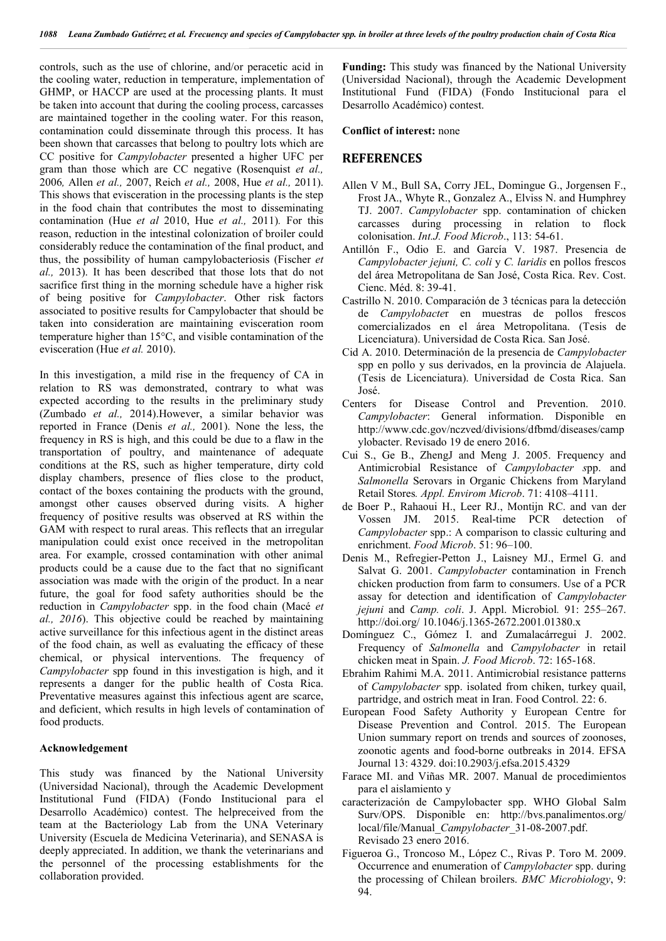controls, such as the use of chlorine, and/or peracetic acid in the cooling water, reduction in temperature, implementation of GHMP, or HACCP are used at the processing plants. It must be taken into account that during the cooling process, carcasses are maintained together in the cooling water. For this reason, contamination could disseminate through this process. It has been shown that carcasses that belong to poultry lots which are CC positive for *Campylobacter* presented a higher UFC per gram than those which are CC negative (Rosenquist *et al.,*  2006*,* Allen *et al.,* 2007, Reich *et al.,* 2008, Hue *et al.,* 2011). This shows that evisceration in the processing plants is the step in the food chain that contributes the most to disseminating contamination (Hue *et al* 2010, Hue *et al.,* 2011)*.* For this reason, reduction in the intestinal colonization of broiler could considerably reduce the contamination of the final product, and thus, the possibility of human campylobacteriosis (Fischer *et al.,* 2013). It has been described that those lots that do not sacrifice first thing in the morning schedule have a higher risk of being positive for *Campylobacter*. Other risk factors associated to positive results for Campylobacter that should be taken into consideration are maintaining evisceration room temperature higher than 15°C, and visible contamination of the evisceration (Hue *et al.* 2010).

In this investigation, a mild rise in the frequency of CA in relation to RS was demonstrated, contrary to what was expected according to the results in the preliminary study (Zumbado *et al.,* 2014).However, a similar behavior was reported in France (Denis *et al.,* 2001). None the less, the frequency in RS is high, and this could be due to a flaw in the transportation of poultry, and maintenance of adequate conditions at the RS, such as higher temperature, dirty cold display chambers, presence of flies close to the product, contact of the boxes containing the products with the ground, amongst other causes observed during visits. A higher frequency of positive results was observed at RS within the GAM with respect to rural areas. This reflects that an irregular manipulation could exist once received in the metropolitan area. For example, crossed contamination with other animal products could be a cause due to the fact that no significant association was made with the origin of the product. In a near future, the goal for food safety authorities should be the reduction in *Campylobacter* spp. in the food chain (Macé *et al., 2016*). This objective could be reached by maintaining active surveillance for this infectious agent in the distinct areas of the food chain, as well as evaluating the efficacy of these chemical, or physical interventions. The frequency of *Campylobacter* spp found in this investigation is high, and it represents a danger for the public health of Costa Rica. Preventative measures against this infectious agent are scarce, and deficient, which results in high levels of contamination of food products.

#### **Acknowledgement**

This study was financed by the National University (Universidad Nacional), through the Academic Development Institutional Fund (FIDA) (Fondo Institucional para el Desarrollo Académico) contest. The helpreceived from the team at the Bacteriology Lab from the UNA Veterinary University (Escuela de Medicina Veterinaria), and SENASA is deeply appreciated. In addition, we thank the veterinarians and the personnel of the processing establishments for the collaboration provided.

**Funding:** This study was financed by the National University (Universidad Nacional), through the Academic Development Institutional Fund (FIDA) (Fondo Institucional para el Desarrollo Académico) contest.

**Conflict of interest:** none

#### **REFERENCES**

- Allen V M., Bull SA, Corry JEL, Domingue G., Jorgensen F., Frost JA., Whyte R., Gonzalez A., Elviss N. and Humphrey TJ. 2007. *Campylobacter* spp. contamination of chicken carcasses during processing in relation to flock colonisation. *Int.J. Food Microb*., 113: 54-61.
- Antillón F., Odio E. and García V. 1987. Presencia de *Campylobacter jejuni, C. coli* y *C. laridis* en pollos frescos del área Metropolitana de San José, Costa Rica. Rev. Cost. Cienc. Méd. 8: 39-41.
- Castrillo N. 2010. Comparación de 3 técnicas para la detección de *Campylobacte*r en muestras de pollos frescos comercializados en el área Metropolitana. (Tesis de Licenciatura). Universidad de Costa Rica. San José.
- Cid A. 2010. Determinación de la presencia de *Campylobacter* spp en pollo y sus derivados, en la provincia de Alajuela. (Tesis de Licenciatura). Universidad de Costa Rica. San José.
- Centers for Disease Control and Prevention. 2010. *Campylobacter*: General information. Disponible en http://www.cdc.gov/nczved/divisions/dfbmd/diseases/camp ylobacter. Revisado 19 de enero 2016.
- Cui S., Ge B., ZhengJ and Meng J. 2005. Frequency and Antimicrobial Resistance of *Campylobacter s*pp. and *Salmonella* Serovars in Organic Chickens from Maryland Retail Stores*. Appl. Envirom Microb*. 71: 4108–4111.
- de Boer P., Rahaoui H., Leer RJ., Montijn RC. and van der Vossen JM. 2015. Real-time PCR detection of *Campylobacter* spp.: A comparison to classic culturing and enrichment. *Food Microb*. 51: 96–100.
- Denis M., Refregier-Petton J., Laisney MJ., Ermel G. and Salvat G. 2001. *Campylobacter* contamination in French chicken production from farm to consumers. Use of a PCR assay for detection and identification of *Campylobacter jejuni* and *Camp. coli*. J. Appl. Microbiol*.* 91: 255–267. http://doi.org/ 10.1046/j.1365-2672.2001.01380.x
- Domínguez C., Gómez I. and Zumalacárregui J. 2002. Frequency of *Salmonella* and *Campylobacter* in retail chicken meat in Spain. *J. Food Microb*. 72: 165-168.
- Ebrahim Rahimi M.A. 2011. Antimicrobial resistance patterns of *Campylobacter* spp. isolated from chiken, turkey quail, partridge, and ostrich meat in Iran. Food Control. 22: 6.
- European Food Safety Authority y European Centre for Disease Prevention and Control. 2015. The European Union summary report on trends and sources of zoonoses, zoonotic agents and food-borne outbreaks in 2014. EFSA Journal 13: 4329. doi:10.2903/j.efsa.2015.4329
- Farace MI. and Viñas MR. 2007. Manual de procedimientos para el aislamiento y
- caracterización de Campylobacter spp. WHO Global Salm Surv/OPS. Disponible en: http://bvs.panalimentos.org/ local/file/Manual\_*Campylobacter*\_31-08-2007.pdf. Revisado 23 enero 2016.
- Figueroa G., Troncoso M., López C., Rivas P. Toro M. 2009. Occurrence and enumeration of *Campylobacter* spp. during the processing of Chilean broilers. *BMC Microbiology*, 9: 94.